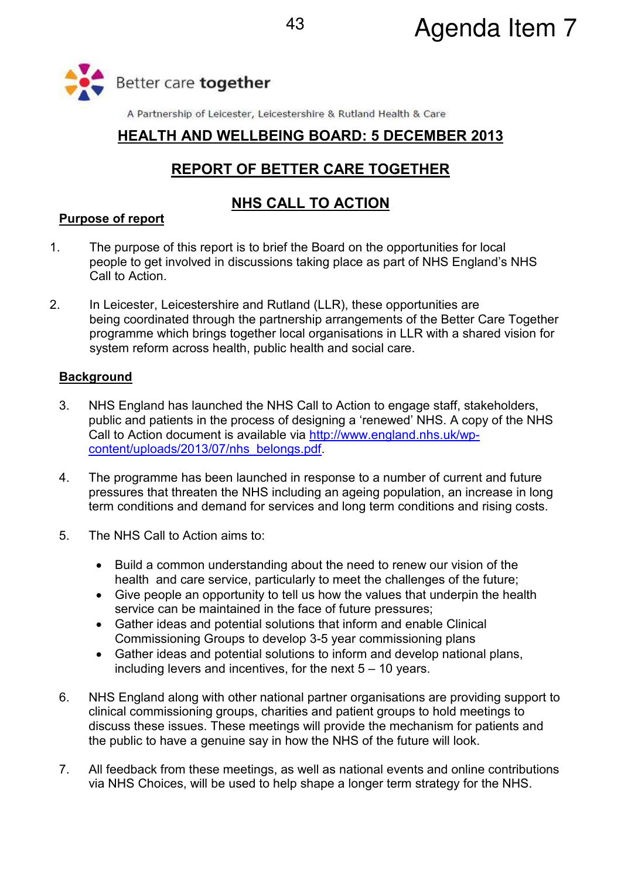

A Partnership of Leicester, Leicestershire & Rutland Health & Care

### **HEALTH AND WELLBEING BOARD: 5 DECEMBER 2013**

# **REPORT OF BETTER CARE TOGETHER**

## **NHS CALL TO ACTION**

#### **Purpose of report**

- 1. The purpose of this report is to brief the Board on the opportunities for local people to get involved in discussions taking place as part of NHS England's NHS Call to Action.
- 2. In Leicester, Leicestershire and Rutland (LLR), these opportunities are being coordinated through the partnership arrangements of the Better Care Together programme which brings together local organisations in LLR with a shared vision for system reform across health, public health and social care.

#### **Background**

- 3. NHS England has launched the NHS Call to Action to engage staff, stakeholders, public and patients in the process of designing a 'renewed' NHS. A copy of the NHS Call to Action document is available via http://www.england.nhs.uk/wpcontent/uploads/2013/07/nhs\_belongs.pdf.
- 4. The programme has been launched in response to a number of current and future pressures that threaten the NHS including an ageing population, an increase in long term conditions and demand for services and long term conditions and rising costs.
- 5. The NHS Call to Action aims to:
	- Build a common understanding about the need to renew our vision of the health and care service, particularly to meet the challenges of the future;
	- Give people an opportunity to tell us how the values that underpin the health service can be maintained in the face of future pressures;
	- Gather ideas and potential solutions that inform and enable Clinical Commissioning Groups to develop 3-5 year commissioning plans
	- Gather ideas and potential solutions to inform and develop national plans, including levers and incentives, for the next 5 – 10 years.
- 6. NHS England along with other national partner organisations are providing support to clinical commissioning groups, charities and patient groups to hold meetings to discuss these issues. These meetings will provide the mechanism for patients and the public to have a genuine say in how the NHS of the future will look.
- 7. All feedback from these meetings, as well as national events and online contributions via NHS Choices, will be used to help shape a longer term strategy for the NHS.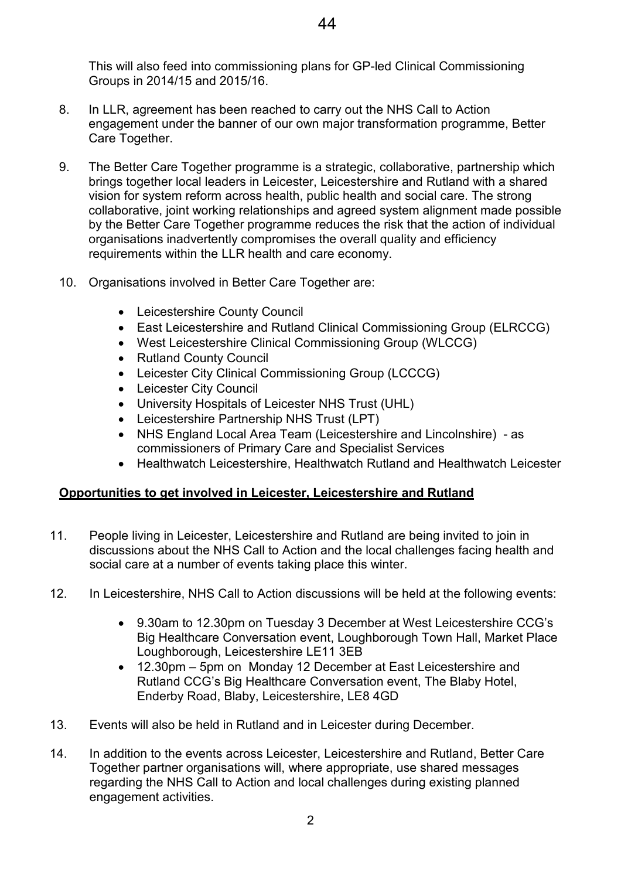This will also feed into commissioning plans for GP-led Clinical Commissioning Groups in 2014/15 and 2015/16.

- 8. In LLR, agreement has been reached to carry out the NHS Call to Action engagement under the banner of our own major transformation programme, Better Care Together.
- 9. The Better Care Together programme is a strategic, collaborative, partnership which brings together local leaders in Leicester, Leicestershire and Rutland with a shared vision for system reform across health, public health and social care. The strong collaborative, joint working relationships and agreed system alignment made possible by the Better Care Together programme reduces the risk that the action of individual organisations inadvertently compromises the overall quality and efficiency requirements within the LLR health and care economy.
- 10. Organisations involved in Better Care Together are:
	- Leicestershire County Council
	- East Leicestershire and Rutland Clinical Commissioning Group (ELRCCG)
	- West Leicestershire Clinical Commissioning Group (WLCCG)
	- Rutland County Council
	- Leicester City Clinical Commissioning Group (LCCCG)
	- Leicester City Council
	- University Hospitals of Leicester NHS Trust (UHL)
	- Leicestershire Partnership NHS Trust (LPT)
	- NHS England Local Area Team (Leicestershire and Lincolnshire) as commissioners of Primary Care and Specialist Services
	- Healthwatch Leicestershire, Healthwatch Rutland and Healthwatch Leicester

#### **Opportunities to get involved in Leicester, Leicestershire and Rutland**

- 11. People living in Leicester, Leicestershire and Rutland are being invited to join in discussions about the NHS Call to Action and the local challenges facing health and social care at a number of events taking place this winter.
- 12. In Leicestershire, NHS Call to Action discussions will be held at the following events:
	- 9.30am to 12.30pm on Tuesday 3 December at West Leicestershire CCG's Big Healthcare Conversation event, Loughborough Town Hall, Market Place Loughborough, Leicestershire LE11 3EB
	- 12.30pm 5pm on Monday 12 December at East Leicestershire and Rutland CCG's Big Healthcare Conversation event, The Blaby Hotel, Enderby Road, Blaby, Leicestershire, LE8 4GD
- 13. Events will also be held in Rutland and in Leicester during December.
- 14. In addition to the events across Leicester, Leicestershire and Rutland, Better Care Together partner organisations will, where appropriate, use shared messages regarding the NHS Call to Action and local challenges during existing planned engagement activities.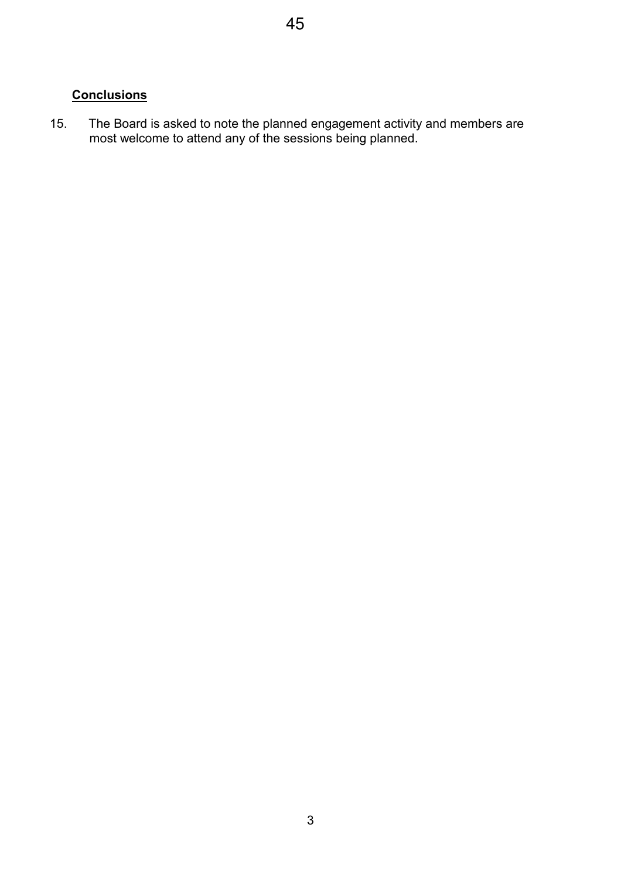### **Conclusions**

15. The Board is asked to note the planned engagement activity and members are most welcome to attend any of the sessions being planned.